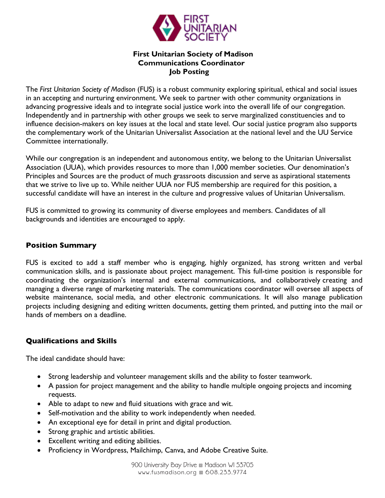

#### **First Unitarian Society of Madison Communications Coordinator Job Posting**

The *First Unitarian Society of Madison* (FUS) is a robust community exploring spiritual, ethical and social issues in an accepting and nurturing environment. We seek to partner with other community organizations in advancing progressive ideals and to integrate social justice work into the overall life of our congregation. Independently and in partnership with other groups we seek to serve marginalized constituencies and to influence decision-makers on key issues at the local and state level. Our social justice program also supports the complementary work of the Unitarian Universalist Association at the national level and the UU Service Committee internationally.

While our congregation is an independent and autonomous entity, we belong to the Unitarian Universalist Association (UUA), which provides resources to more than 1,000 member societies. Our denomination's Principles and Sources are the product of much grassroots discussion and serve as aspirational statements that we strive to live up to. While neither UUA nor FUS membership are required for this position, a successful candidate will have an interest in the culture and progressive values of Unitarian Universalism.

FUS is committed to growing its community of diverse employees and members. Candidates of all backgrounds and identities are encouraged to apply.

#### **Position Summary**

FUS is excited to add a staff member who is engaging, highly organized, has strong written and verbal communication skills, and is passionate about project management. This full-time position is responsible for coordinating the organization's internal and external communications, and collaboratively creating and managing a diverse range of marketing materials. The communications coordinator will oversee all aspects of website maintenance, social media, and other electronic communications. It will also manage publication projects including designing and editing written documents, getting them printed, and putting into the mail or hands of members on a deadline.

# **Qualifications and Skills**

The ideal candidate should have:

- Strong leadership and volunteer management skills and the ability to foster teamwork.
- A passion for project management and the ability to handle multiple ongoing projects and incoming requests.
- Able to adapt to new and fluid situations with grace and wit.
- Self-motivation and the ability to work independently when needed.
- An exceptional eye for detail in print and digital production.
- Strong graphic and artistic abilities.
- Excellent writing and editing abilities.
- Proficiency in Wordpress, Mailchimp, Canva, and Adobe Creative Suite.